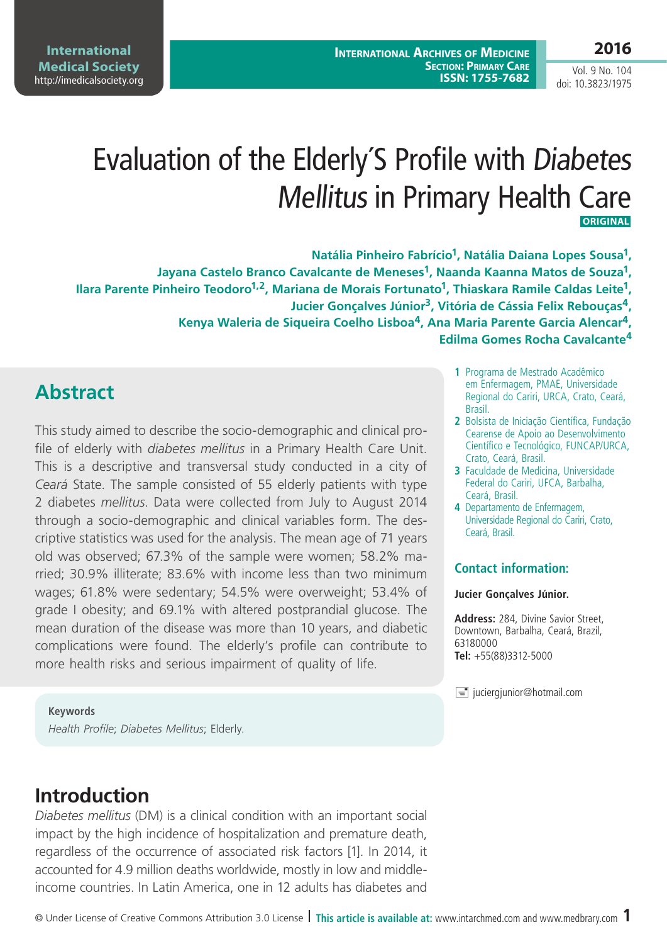# Evaluation of the Elderly´S Profile with Diabetes Mellitus in Primary Health Care  **Original**

**Natália Pinheiro Fabrício1, Natália Daiana Lopes Sousa1, Jayana Castelo Branco Cavalcante de Meneses1, Naanda Kaanna Matos de Souza1,**  Ilara Parente Pinheiro Teodoro<sup>1,2</sup>, Mariana de Morais Fortunato<sup>1</sup>, Thiaskara Ramile Caldas Leite<sup>1</sup>, **Jucier Gonçalves Júnior3, Vitória de Cássia Felix Rebouças4, Kenya Waleria de Siqueira Coelho Lisboa4, Ana Maria Parente Garcia Alencar4, Edilma Gomes Rocha Cavalcante<sup>4</sup>**

### **Abstract**

This study aimed to describe the socio-demographic and clinical profile of elderly with *diabetes mellitus* in a Primary Health Care Unit. This is a descriptive and transversal study conducted in a city of *Ceará* State. The sample consisted of 55 elderly patients with type 2 diabetes *mellitus*. Data were collected from July to August 2014 through a socio-demographic and clinical variables form. The descriptive statistics was used for the analysis. The mean age of 71 years old was observed; 67.3% of the sample were women; 58.2% married; 30.9% illiterate; 83.6% with income less than two minimum wages; 61.8% were sedentary; 54.5% were overweight; 53.4% of grade I obesity; and 69.1% with altered postprandial glucose. The mean duration of the disease was more than 10 years, and diabetic complications were found. The elderly's profile can contribute to more health risks and serious impairment of quality of life.

- **1** Programa de Mestrado Acadêmico em Enfermagem, PMAE, Universidade Regional do Cariri, URCA, Crato, Ceará, Brasil.
- **2** Bolsista de Iniciação Científica, Fundação Cearense de Apoio ao Desenvolvimento Científico e Tecnológico, FUNCAP/URCA, Crato, Ceará, Brasil.
- **3** Faculdade de Medicina, Universidade Federal do Cariri, UFCA, Barbalha, Ceará, Brasil.
- **4** Departamento de Enfermagem, Universidade Regional do Cariri, Crato, Ceará, Brasil.

#### **Contact information:**

#### **Jucier Gonçalves Júnior.**

**Address:** 284, Divine Savior Street, Downtown, Barbalha, Ceará, Brazil, 63180000 **Tel:** +55(88)3312-5000

 $\equiv$  juciergjunior@hotmail.com

**Keywords** *Health Profile*; *Diabetes Mellitus*; Elderly.

## **Introduction**

*Diabetes mellitus* (DM) is a clinical condition with an important social impact by the high incidence of hospitalization and premature death, regardless of the occurrence of associated risk factors [1]. In 2014, it accounted for 4.9 million deaths worldwide, mostly in low and middleincome countries. In Latin America, one in 12 adults has diabetes and

#### **2016**

Vol. 9 No. 104 doi: 10.3823/1975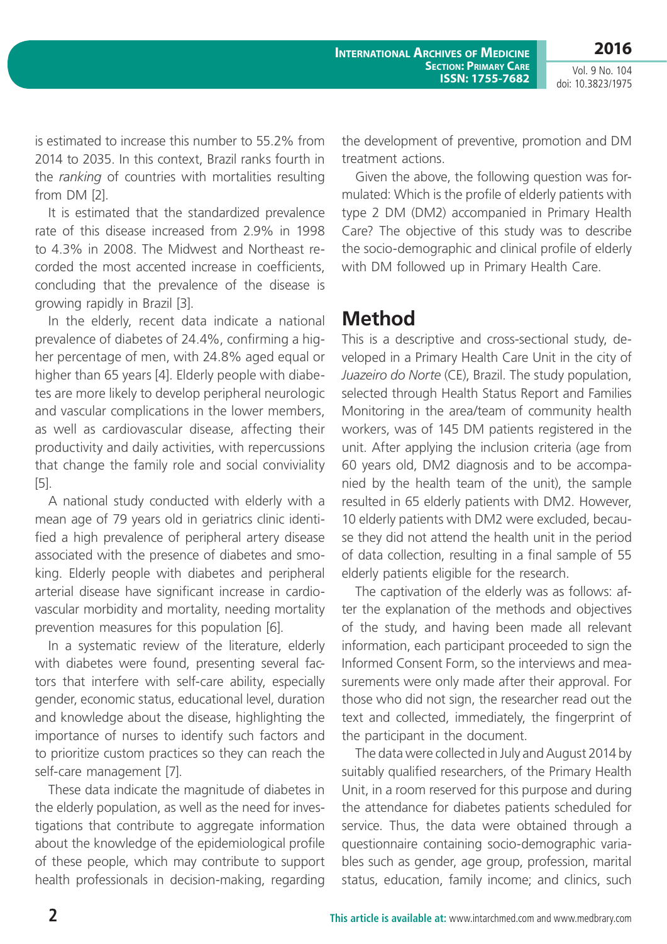**2016**

Vol. 9 No. 104 doi: 10.3823/1975

is estimated to increase this number to 55.2% from 2014 to 2035. In this context, Brazil ranks fourth in the *ranking* of countries with mortalities resulting from DM [2].

It is estimated that the standardized prevalence rate of this disease increased from 2.9% in 1998 to 4.3% in 2008. The Midwest and Northeast recorded the most accented increase in coefficients, concluding that the prevalence of the disease is growing rapidly in Brazil [3].

In the elderly, recent data indicate a national prevalence of diabetes of 24.4%, confirming a higher percentage of men, with 24.8% aged equal or higher than 65 years [4]. Elderly people with diabetes are more likely to develop peripheral neurologic and vascular complications in the lower members, as well as cardiovascular disease, affecting their productivity and daily activities, with repercussions that change the family role and social conviviality [5].

A national study conducted with elderly with a mean age of 79 years old in geriatrics clinic identified a high prevalence of peripheral artery disease associated with the presence of diabetes and smoking. Elderly people with diabetes and peripheral arterial disease have significant increase in cardiovascular morbidity and mortality, needing mortality prevention measures for this population [6].

In a systematic review of the literature, elderly with diabetes were found, presenting several factors that interfere with self-care ability, especially gender, economic status, educational level, duration and knowledge about the disease, highlighting the importance of nurses to identify such factors and to prioritize custom practices so they can reach the self-care management [7].

These data indicate the magnitude of diabetes in the elderly population, as well as the need for investigations that contribute to aggregate information about the knowledge of the epidemiological profile of these people, which may contribute to support health professionals in decision-making, regarding the development of preventive, promotion and DM treatment actions.

Given the above, the following question was formulated: Which is the profile of elderly patients with type 2 DM (DM2) accompanied in Primary Health Care? The objective of this study was to describe the socio-demographic and clinical profile of elderly with DM followed up in Primary Health Care.

### **Method**

This is a descriptive and cross-sectional study, developed in a Primary Health Care Unit in the city of *Juazeiro do Norte* (CE), Brazil. The study population, selected through Health Status Report and Families Monitoring in the area/team of community health workers, was of 145 DM patients registered in the unit. After applying the inclusion criteria (age from 60 years old, DM2 diagnosis and to be accompanied by the health team of the unit), the sample resulted in 65 elderly patients with DM2. However, 10 elderly patients with DM2 were excluded, because they did not attend the health unit in the period of data collection, resulting in a final sample of 55 elderly patients eligible for the research.

The captivation of the elderly was as follows: after the explanation of the methods and objectives of the study, and having been made all relevant information, each participant proceeded to sign the Informed Consent Form, so the interviews and measurements were only made after their approval. For those who did not sign, the researcher read out the text and collected, immediately, the fingerprint of the participant in the document.

The data were collected in July and August 2014 by suitably qualified researchers, of the Primary Health Unit, in a room reserved for this purpose and during the attendance for diabetes patients scheduled for service. Thus, the data were obtained through a questionnaire containing socio-demographic variables such as gender, age group, profession, marital status, education, family income; and clinics, such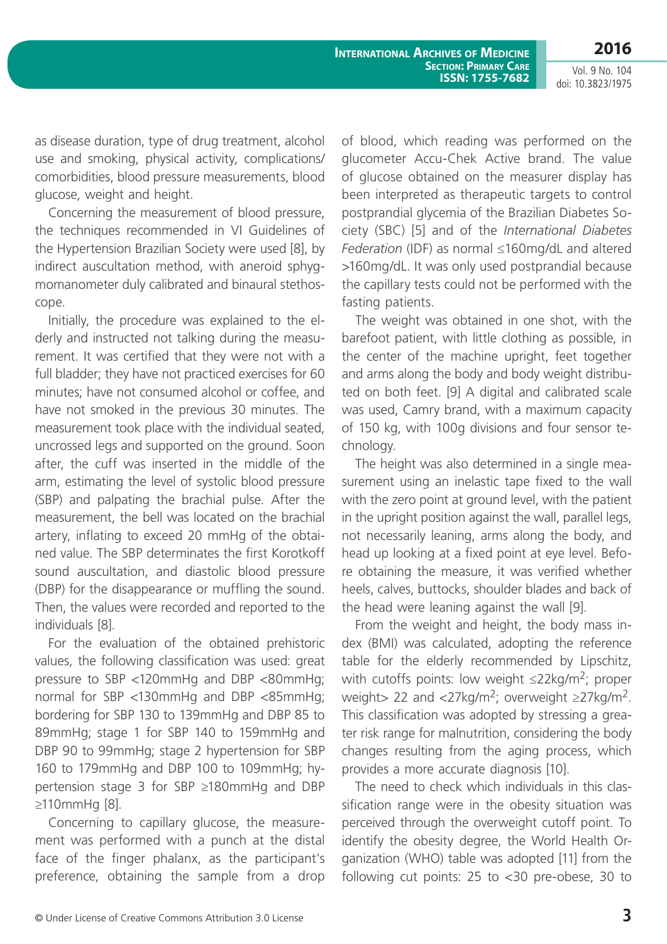Vol. 9 No. 104 doi: 10.3823/1975

**2016**

as disease duration, type of drug treatment, alcohol use and smoking, physical activity, complications/ comorbidities, blood pressure measurements, blood glucose, weight and height.

Concerning the measurement of blood pressure, the techniques recommended in VI Guidelines of the Hypertension Brazilian Society were used [8], by indirect auscultation method, with aneroid sphygmomanometer duly calibrated and binaural stethoscope.

Initially, the procedure was explained to the elderly and instructed not talking during the measurement. It was certified that they were not with a full bladder; they have not practiced exercises for 60 minutes; have not consumed alcohol or coffee, and have not smoked in the previous 30 minutes. The measurement took place with the individual seated, uncrossed legs and supported on the ground. Soon after, the cuff was inserted in the middle of the arm, estimating the level of systolic blood pressure (SBP) and palpating the brachial pulse. After the measurement, the bell was located on the brachial artery, inflating to exceed 20 mmHg of the obtained value. The SBP determinates the first Korotkoff sound auscultation, and diastolic blood pressure (DBP) for the disappearance or muffling the sound. Then, the values were recorded and reported to the individuals [8].

For the evaluation of the obtained prehistoric values, the following classification was used: great pressure to SBP <120mmHg and DBP <80mmHg; normal for SBP <130mmHg and DBP <85mmHg; bordering for SBP 130 to 139mmHg and DBP 85 to 89mmHg; stage 1 for SBP 140 to 159mmHg and DBP 90 to 99mmHg; stage 2 hypertension for SBP 160 to 179mmHg and DBP 100 to 109mmHg; hypertension stage 3 for SBP ≥180mmHg and DBP ≥110mmHg [8].

Concerning to capillary glucose, the measurement was performed with a punch at the distal face of the finger phalanx, as the participant's preference, obtaining the sample from a drop

of blood, which reading was performed on the glucometer Accu-Chek Active brand. The value of glucose obtained on the measurer display has been interpreted as therapeutic targets to control postprandial glycemia of the Brazilian Diabetes Society (SBC) [5] and of the *International Diabetes Federation* (IDF) as normal ≤160mg/dL and altered >160mg/dL. It was only used postprandial because the capillary tests could not be performed with the fasting patients.

The weight was obtained in one shot, with the barefoot patient, with little clothing as possible, in the center of the machine upright, feet together and arms along the body and body weight distributed on both feet. [9] A digital and calibrated scale was used, Camry brand, with a maximum capacity of 150 kg, with 100g divisions and four sensor technology.

The height was also determined in a single measurement using an inelastic tape fixed to the wall with the zero point at ground level, with the patient in the upright position against the wall, parallel legs, not necessarily leaning, arms along the body, and head up looking at a fixed point at eye level. Before obtaining the measure, it was verified whether heels, calves, buttocks, shoulder blades and back of the head were leaning against the wall [9].

From the weight and height, the body mass index (BMI) was calculated, adopting the reference table for the elderly recommended by Lipschitz, with cutoffs points: low weight  $\leq$ 22kg/m<sup>2</sup>; proper weight> 22 and  $\langle 27 \text{kg/m}^2$ ; overweight  $\geq 27 \text{kg/m}^2$ . This classification was adopted by stressing a greater risk range for malnutrition, considering the body changes resulting from the aging process, which provides a more accurate diagnosis [10].

The need to check which individuals in this classification range were in the obesity situation was perceived through the overweight cutoff point. To identify the obesity degree, the World Health Organization (WHO) table was adopted [11] from the following cut points: 25 to <30 pre-obese, 30 to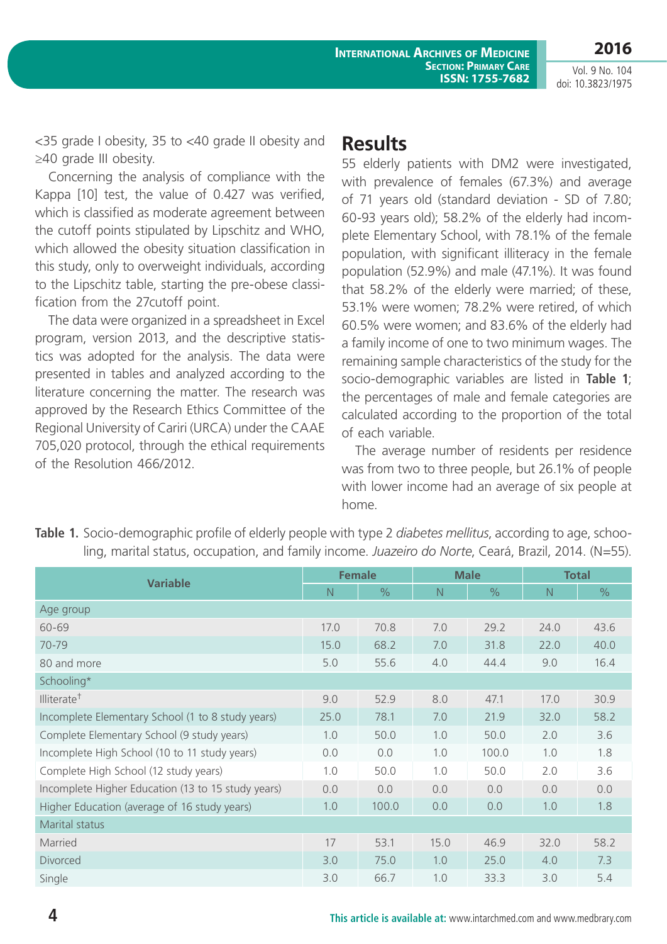**2016**

<35 grade I obesity, 35 to <40 grade II obesity and ≥40 grade III obesity.

Concerning the analysis of compliance with the Kappa [10] test, the value of 0.427 was verified, which is classified as moderate agreement between the cutoff points stipulated by Lipschitz and WHO, which allowed the obesity situation classification in this study, only to overweight individuals, according to the Lipschitz table, starting the pre-obese classification from the 27cutoff point.

The data were organized in a spreadsheet in Excel program, version 2013, and the descriptive statistics was adopted for the analysis. The data were presented in tables and analyzed according to the literature concerning the matter. The research was approved by the Research Ethics Committee of the Regional University of Cariri (URCA) under the CAAE 705,020 protocol, through the ethical requirements of the Resolution 466/2012.

### **Results**

55 elderly patients with DM2 were investigated, with prevalence of females (67.3%) and average of 71 years old (standard deviation - SD of 7.80; 60-93 years old); 58.2% of the elderly had incomplete Elementary School, with 78.1% of the female population, with significant illiteracy in the female population (52.9%) and male (47.1%). It was found that 58.2% of the elderly were married; of these, 53.1% were women; 78.2% were retired, of which 60.5% were women; and 83.6% of the elderly had a family income of one to two minimum wages. The remaining sample characteristics of the study for the socio-demographic variables are listed in **Table 1**; the percentages of male and female categories are calculated according to the proportion of the total of each variable.

The average number of residents per residence was from two to three people, but 26.1% of people with lower income had an average of six people at home.

| <b>Variable</b>                                    | <b>Female</b> |               | <b>Male</b> |               | <b>Total</b> |               |  |
|----------------------------------------------------|---------------|---------------|-------------|---------------|--------------|---------------|--|
|                                                    | N             | $\frac{0}{0}$ | N           | $\frac{0}{0}$ | N            | $\frac{0}{0}$ |  |
| Age group                                          |               |               |             |               |              |               |  |
| 60-69                                              | 17.0          | 70.8          | 7.0         | 29.2          | 24.0         | 43.6          |  |
| 70-79                                              | 15.0          | 68.2          | 7.0         | 31.8          | 22.0         | 40.0          |  |
| 80 and more                                        | 5.0           | 55.6          | 4.0         | 44.4          | 9.0          | 16.4          |  |
| Schooling*                                         |               |               |             |               |              |               |  |
| Illiterate <sup>†</sup>                            | 9.0           | 52.9          | 8.0         | 47.1          | 17.0         | 30.9          |  |
| Incomplete Elementary School (1 to 8 study years)  | 25.0          | 78.1          | 7.0         | 21.9          | 32.0         | 58.2          |  |
| Complete Elementary School (9 study years)         | 1.0           | 50.0          | 1.0         | 50.0          | 2.0          | 3.6           |  |
| Incomplete High School (10 to 11 study years)      | 0.0           | 0.0           | 1.0         | 100.0         | 1.0          | 1.8           |  |
| Complete High School (12 study years)              | 1.0           | 50.0          | 1.0         | 50.0          | 2.0          | 3.6           |  |
| Incomplete Higher Education (13 to 15 study years) | 0.0           | 0.0           | 0.0         | 0.0           | 0.0          | 0.0           |  |
| Higher Education (average of 16 study years)       | 1.0           | 100.0         | 0.0         | 0.0           | 1.0          | 1.8           |  |
| Marital status                                     |               |               |             |               |              |               |  |
| Married                                            | 17            | 53.1          | 15.0        | 46.9          | 32.0         | 58.2          |  |
| <b>Divorced</b>                                    | 3.0           | 75.0          | 1.0         | 25.0          | 4.0          | 7.3           |  |
| Single                                             | 3.0           | 66.7          | 1.0         | 33.3          | 3.0          | 5.4           |  |

**Table 1.** Socio-demographic profile of elderly people with type 2 *diabetes mellitus*, according to age, schooling, marital status, occupation, and family income. *Juazeiro do Norte*, Ceará, Brazil, 2014. (N=55).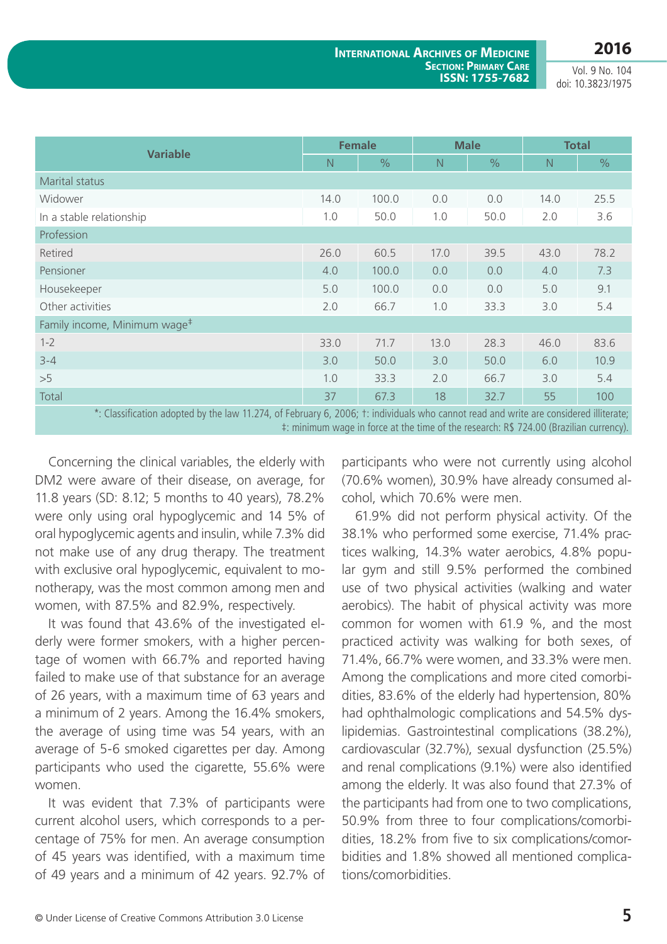|                                                                                                                                       | <b>Female</b> |               | <b>Male</b> |               | <b>Total</b> |               |  |  |
|---------------------------------------------------------------------------------------------------------------------------------------|---------------|---------------|-------------|---------------|--------------|---------------|--|--|
| <b>Variable</b>                                                                                                                       | N             | $\frac{0}{0}$ | N           | $\frac{0}{0}$ | N            | $\frac{0}{0}$ |  |  |
| Marital status                                                                                                                        |               |               |             |               |              |               |  |  |
| Widower                                                                                                                               | 14.0          | 100.0         | 0.0         | 0.0           | 14.0         | 25.5          |  |  |
| In a stable relationship                                                                                                              | 1.0           | 50.0          | 1.0         | 50.0          | 2.0          | 3.6           |  |  |
| Profession                                                                                                                            |               |               |             |               |              |               |  |  |
| Retired                                                                                                                               | 26.0          | 60.5          | 17.0        | 39.5          | 43.0         | 78.2          |  |  |
| Pensioner                                                                                                                             | 4.0           | 100.0         | 0.0         | 0.0           | 4.0          | 7.3           |  |  |
| Housekeeper                                                                                                                           | 5.0           | 100.0         | 0.0         | 0.0           | 5.0          | 9.1           |  |  |
| Other activities                                                                                                                      | 2.0           | 66.7          | 1.0         | 33.3          | 3.0          | 5.4           |  |  |
| Family income, Minimum wage <sup>#</sup>                                                                                              |               |               |             |               |              |               |  |  |
| $1 - 2$                                                                                                                               | 33.0          | 71.7          | 13.0        | 28.3          | 46.0         | 83.6          |  |  |
| $3 - 4$                                                                                                                               | 3.0           | 50.0          | 3.0         | 50.0          | 6.0          | 10.9          |  |  |
| >5                                                                                                                                    | 1.0           | 33.3          | 2.0         | 66.7          | 3.0          | 5.4           |  |  |
| Total                                                                                                                                 | 37            | 67.3          | 18          | 32.7          | 55           | 100           |  |  |
| *: Classification adopted by the law 11.274, of February 6, 2006; t: individuals who cannot read and write are considered illiterate; |               |               |             |               |              |               |  |  |

‡: minimum wage in force at the time of the research: R\$ 724.00 (Brazilian currency).

Concerning the clinical variables, the elderly with DM2 were aware of their disease, on average, for 11.8 years (SD: 8.12; 5 months to 40 years), 78.2% were only using oral hypoglycemic and 14 5% of oral hypoglycemic agents and insulin, while 7.3% did not make use of any drug therapy. The treatment with exclusive oral hypoglycemic, equivalent to monotherapy, was the most common among men and women, with 87.5% and 82.9%, respectively.

It was found that 43.6% of the investigated elderly were former smokers, with a higher percentage of women with 66.7% and reported having failed to make use of that substance for an average of 26 years, with a maximum time of 63 years and a minimum of 2 years. Among the 16.4% smokers, the average of using time was 54 years, with an average of 5-6 smoked cigarettes per day. Among participants who used the cigarette, 55.6% were women.

It was evident that 7.3% of participants were current alcohol users, which corresponds to a percentage of 75% for men. An average consumption of 45 years was identified, with a maximum time of 49 years and a minimum of 42 years. 92.7% of

participants who were not currently using alcohol (70.6% women), 30.9% have already consumed alcohol, which 70.6% were men.

61.9% did not perform physical activity. Of the 38.1% who performed some exercise, 71.4% practices walking, 14.3% water aerobics, 4.8% popular gym and still 9.5% performed the combined use of two physical activities (walking and water aerobics). The habit of physical activity was more common for women with 61.9 %, and the most practiced activity was walking for both sexes, of 71.4%, 66.7% were women, and 33.3% were men. Among the complications and more cited comorbidities, 83.6% of the elderly had hypertension, 80% had ophthalmologic complications and 54.5% dyslipidemias. Gastrointestinal complications (38.2%), cardiovascular (32.7%), sexual dysfunction (25.5%) and renal complications (9.1%) were also identified among the elderly. It was also found that 27.3% of the participants had from one to two complications, 50.9% from three to four complications/comorbidities, 18.2% from five to six complications/comorbidities and 1.8% showed all mentioned complications/comorbidities.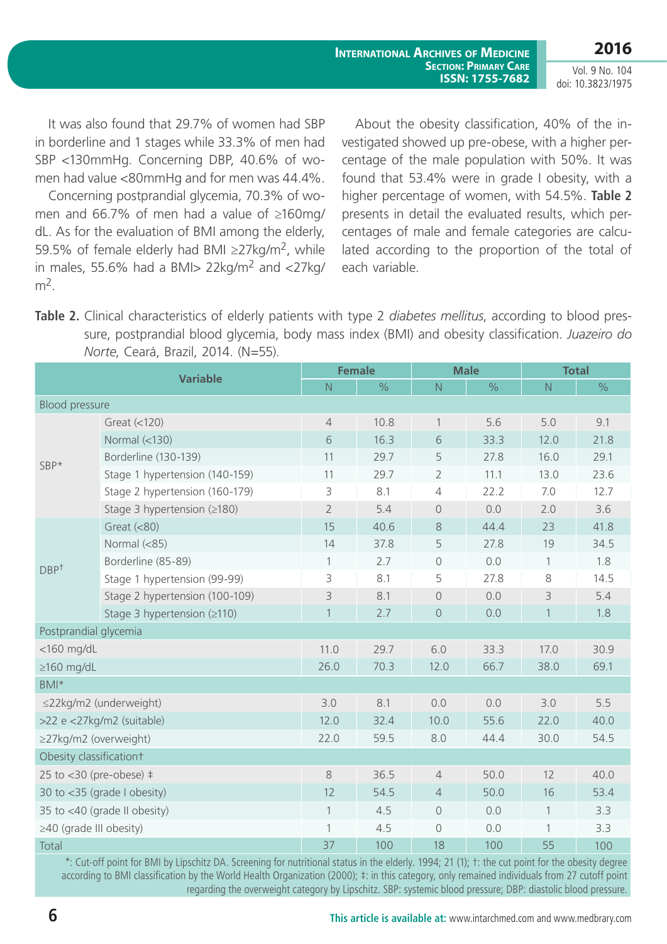Vol. 9 No. 104 doi: 10.3823/1975

It was also found that 29.7% of women had SBP in borderline and 1 stages while 33.3% of men had SBP <130mmHg. Concerning DBP, 40.6% of women had value <80mmHg and for men was 44.4%.

Concerning postprandial glycemia, 70.3% of women and 66.7% of men had a value of ≥160mg/ dL. As for the evaluation of BMI among the elderly, 59.5% of female elderly had BMI  $\geq$ 27kg/m<sup>2</sup>, while in males, 55.6% had a BMI $> 22$ kg/m<sup>2</sup> and  $\langle 27$ kg/  $m<sup>2</sup>$ .

About the obesity classification, 40% of the investigated showed up pre-obese, with a higher percentage of the male population with 50%. It was found that 53.4% were in grade I obesity, with a higher percentage of women, with 54.5%. **Table 2** presents in detail the evaluated results, which percentages of male and female categories are calculated according to the proportion of the total of each variable.

**Table 2.** Clinical characteristics of elderly patients with type 2 *diabetes mellitus*, according to blood pressure, postprandial blood glycemia, body mass index (BMI) and obesity classification. *Juazeiro do Norte*, Ceará, Brazil, 2014. (N=55).

| <b>Variable</b>                |                                    | <b>Female</b>  |               | <b>Male</b>    |               | <b>Total</b>  |      |
|--------------------------------|------------------------------------|----------------|---------------|----------------|---------------|---------------|------|
|                                |                                    | N              | $\frac{1}{2}$ | $\mathsf{N}$   | $\frac{1}{2}$ | ${\mathsf N}$ | $\%$ |
| <b>Blood pressure</b>          |                                    |                |               |                |               |               |      |
| SBP*                           | Great (<120)                       | $\overline{4}$ | 10.8          | $\mathbf{1}$   | 5.6           | 5.0           | 9.1  |
|                                | Normal $\left( < 130 \right)$      | 6              | 16.3          | 6              | 33.3          | 12.0          | 21.8 |
|                                | Borderline (130-139)               | 11             | 29.7          | 5              | 27.8          | 16.0          | 29.1 |
|                                | Stage 1 hypertension (140-159)     | 11             | 29.7          | $\overline{2}$ | 11.1          | 13.0          | 23.6 |
|                                | Stage 2 hypertension (160-179)     | 3              | 8.1           | $\overline{4}$ | 22.2          | 7.0           | 12.7 |
|                                | Stage 3 hypertension (≥180)        | $\overline{2}$ | 5.4           | $\Omega$       | 0.0           | 2.0           | 3.6  |
| DBP <sup>†</sup>               | Great $(< 80)$                     | 15             | 40.6          | 8              | 44.4          | 23            | 41.8 |
|                                | Normal (<85)                       | 14             | 37.8          | 5              | 27.8          | 19            | 34.5 |
|                                | Borderline (85-89)                 | 1              | 2.7           | $\circ$        | 0.0           | $\mathbf{1}$  | 1.8  |
|                                | Stage 1 hypertension (99-99)       | 3              | 8.1           | 5              | 27.8          | 8             | 14.5 |
|                                | Stage 2 hypertension (100-109)     | 3              | 8.1           | $\overline{0}$ | 0.0           | 3             | 5.4  |
|                                | Stage 3 hypertension $( \geq 110)$ | 1              | 2.7           | $\sqrt{a}$     | 0.0           | $\mathbf{1}$  | 1.8  |
| Postprandial glycemia          |                                    |                |               |                |               |               |      |
| $<$ 160 mg/dL                  |                                    | 11.0           | 29.7          | 6.0            | 33.3          | 17.0          | 30.9 |
| $\geq$ 160 mg/dL               |                                    | 26.0           | 70.3          | 12.0           | 66.7          | 38.0          | 69.1 |
| BMI*                           |                                    |                |               |                |               |               |      |
| ≤22kg/m2 (underweight)         |                                    | 3.0            | 8.1           | 0.0            | 0.0           | 3.0           | 5.5  |
|                                | >22 e <27kg/m2 (suitable)          | 12.0           | 32.4          | 10.0           | 55.6          | 22.0          | 40.0 |
| ≥27kg/m2 (overweight)          |                                    | 22.0           | 59.5          | 8.0            | 44.4          | 30.0          | 54.5 |
| Obesity classificationt        |                                    |                |               |                |               |               |      |
| 25 to $<$ 30 (pre-obese) $\pm$ |                                    | 8              | 36.5          | $\overline{4}$ | 50.0          | 12            | 40.0 |
| 30 to <35 (grade I obesity)    |                                    | 12             | 54.5          | $\overline{4}$ | 50.0          | 16            | 53.4 |
| 35 to <40 (grade II obesity)   |                                    | $\mathbf 1$    | 4.5           | $\bigcirc$     | 0.0           | $\mathbf{1}$  | 3.3  |
| $\geq$ 40 (grade III obesity)  |                                    | $\mathbf{1}$   | 4.5           | $\overline{O}$ | 0.0           | $\mathbf{1}$  | 3.3  |
| Total                          |                                    | 37             | 100           | 18             | 100           | 55            | 100  |

\*: Cut-off point for BMI by Lipschitz DA. Screening for nutritional status in the elderly. 1994; 21 (1); †: the cut point for the obesity degree according to BMI classification by the World Health Organization (2000); ‡: in this category, only remained individuals from 27 cutoff point regarding the overweight category by Lipschitz. SBP: systemic blood pressure; DBP: diastolic blood pressure.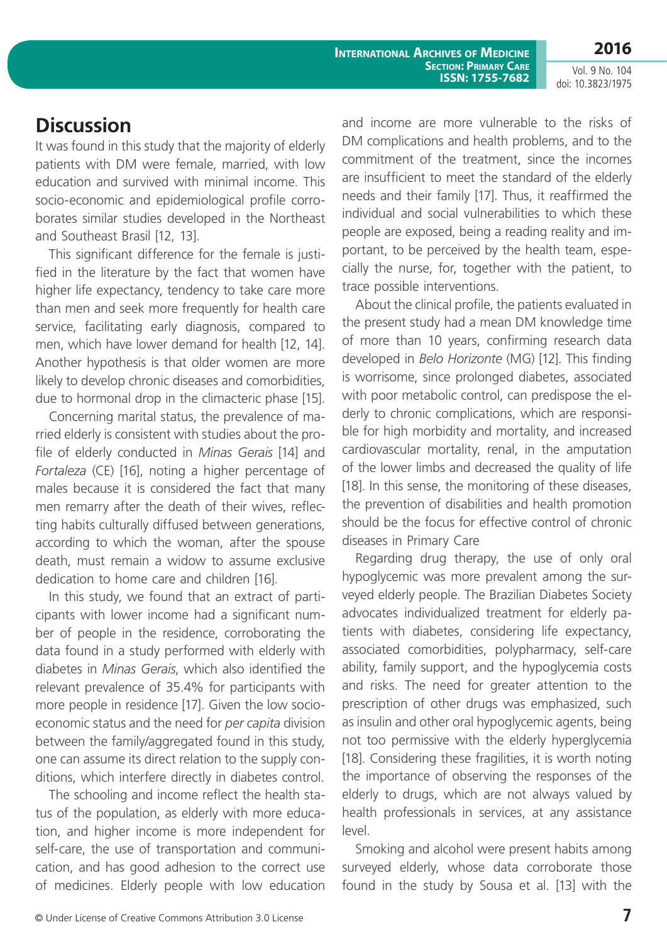**2016**

Vol. 9 No. 104 doi: 10.3823/1975

## **Discussion**

It was found in this study that the majority of elderly patients with DM were female, married, with low education and survived with minimal income. This socio-economic and epidemiological profile corroborates similar studies developed in the Northeast and Southeast Brasil [12, 13].

This significant difference for the female is justified in the literature by the fact that women have higher life expectancy, tendency to take care more than men and seek more frequently for health care service, facilitating early diagnosis, compared to men, which have lower demand for health [12, 14]. Another hypothesis is that older women are more likely to develop chronic diseases and comorbidities, due to hormonal drop in the climacteric phase [15].

Concerning marital status, the prevalence of married elderly is consistent with studies about the profile of elderly conducted in *Minas Gerais* [14] and *Fortaleza* (CE) [16], noting a higher percentage of males because it is considered the fact that many men remarry after the death of their wives, reflecting habits culturally diffused between generations, according to which the woman, after the spouse death, must remain a widow to assume exclusive dedication to home care and children [16].

In this study, we found that an extract of participants with lower income had a significant number of people in the residence, corroborating the data found in a study performed with elderly with diabetes in *Minas Gerais*, which also identified the relevant prevalence of 35.4% for participants with more people in residence [17]. Given the low socioeconomic status and the need for *per capita* division between the family/aggregated found in this study, one can assume its direct relation to the supply conditions, which interfere directly in diabetes control.

The schooling and income reflect the health status of the population, as elderly with more education, and higher income is more independent for self-care, the use of transportation and communication, and has good adhesion to the correct use of medicines. Elderly people with low education and income are more vulnerable to the risks of DM complications and health problems, and to the commitment of the treatment, since the incomes are insufficient to meet the standard of the elderly needs and their family [17]. Thus, it reaffirmed the individual and social vulnerabilities to which these people are exposed, being a reading reality and important, to be perceived by the health team, especially the nurse, for, together with the patient, to trace possible interventions.

About the clinical profile, the patients evaluated in the present study had a mean DM knowledge time of more than 10 years, confirming research data developed in *Belo Horizonte* (MG) [12]. This finding is worrisome, since prolonged diabetes, associated with poor metabolic control, can predispose the elderly to chronic complications, which are responsible for high morbidity and mortality, and increased cardiovascular mortality, renal, in the amputation of the lower limbs and decreased the quality of life [18]. In this sense, the monitoring of these diseases, the prevention of disabilities and health promotion should be the focus for effective control of chronic diseases in Primary Care

Regarding drug therapy, the use of only oral hypoglycemic was more prevalent among the surveyed elderly people. The Brazilian Diabetes Society advocates individualized treatment for elderly patients with diabetes, considering life expectancy, associated comorbidities, polypharmacy, self-care ability, family support, and the hypoglycemia costs and risks. The need for greater attention to the prescription of other drugs was emphasized, such as insulin and other oral hypoglycemic agents, being not too permissive with the elderly hyperglycemia [18]. Considering these fragilities, it is worth noting the importance of observing the responses of the elderly to drugs, which are not always valued by health professionals in services, at any assistance level.

Smoking and alcohol were present habits among surveyed elderly, whose data corroborate those found in the study by Sousa et al. [13] with the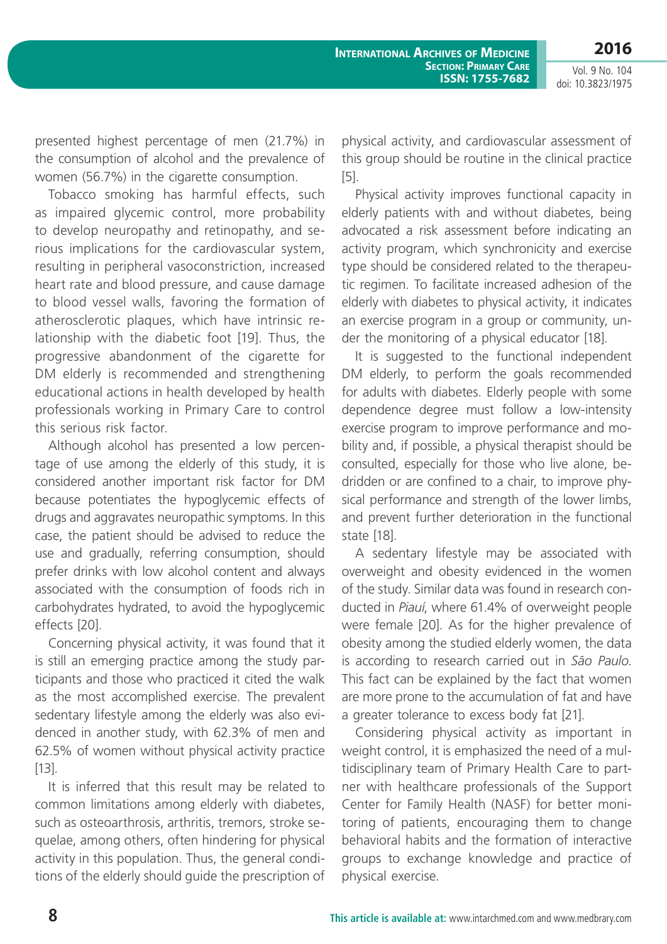**2016**

Vol. 9 No. 104 doi: 10.3823/1975

presented highest percentage of men (21.7%) in the consumption of alcohol and the prevalence of women (56.7%) in the cigarette consumption.

Tobacco smoking has harmful effects, such as impaired glycemic control, more probability to develop neuropathy and retinopathy, and serious implications for the cardiovascular system, resulting in peripheral vasoconstriction, increased heart rate and blood pressure, and cause damage to blood vessel walls, favoring the formation of atherosclerotic plaques, which have intrinsic relationship with the diabetic foot [19]. Thus, the progressive abandonment of the cigarette for DM elderly is recommended and strengthening educational actions in health developed by health professionals working in Primary Care to control this serious risk factor.

Although alcohol has presented a low percentage of use among the elderly of this study, it is considered another important risk factor for DM because potentiates the hypoglycemic effects of drugs and aggravates neuropathic symptoms. In this case, the patient should be advised to reduce the use and gradually, referring consumption, should prefer drinks with low alcohol content and always associated with the consumption of foods rich in carbohydrates hydrated, to avoid the hypoglycemic effects [20].

Concerning physical activity, it was found that it is still an emerging practice among the study participants and those who practiced it cited the walk as the most accomplished exercise. The prevalent sedentary lifestyle among the elderly was also evidenced in another study, with 62.3% of men and 62.5% of women without physical activity practice [13].

It is inferred that this result may be related to common limitations among elderly with diabetes, such as osteoarthrosis, arthritis, tremors, stroke sequelae, among others, often hindering for physical activity in this population. Thus, the general conditions of the elderly should guide the prescription of

physical activity, and cardiovascular assessment of this group should be routine in the clinical practice [5].

Physical activity improves functional capacity in elderly patients with and without diabetes, being advocated a risk assessment before indicating an activity program, which synchronicity and exercise type should be considered related to the therapeutic regimen. To facilitate increased adhesion of the elderly with diabetes to physical activity, it indicates an exercise program in a group or community, under the monitoring of a physical educator [18].

It is suggested to the functional independent DM elderly, to perform the goals recommended for adults with diabetes. Elderly people with some dependence degree must follow a low-intensity exercise program to improve performance and mobility and, if possible, a physical therapist should be consulted, especially for those who live alone, bedridden or are confined to a chair, to improve physical performance and strength of the lower limbs, and prevent further deterioration in the functional state [18].

A sedentary lifestyle may be associated with overweight and obesity evidenced in the women of the study. Similar data was found in research conducted in *Piauí*, where 61.4% of overweight people were female [20]. As for the higher prevalence of obesity among the studied elderly women, the data is according to research carried out in *São Paulo*. This fact can be explained by the fact that women are more prone to the accumulation of fat and have a greater tolerance to excess body fat [21].

Considering physical activity as important in weight control, it is emphasized the need of a multidisciplinary team of Primary Health Care to partner with healthcare professionals of the Support Center for Family Health (NASF) for better monitoring of patients, encouraging them to change behavioral habits and the formation of interactive groups to exchange knowledge and practice of physical exercise.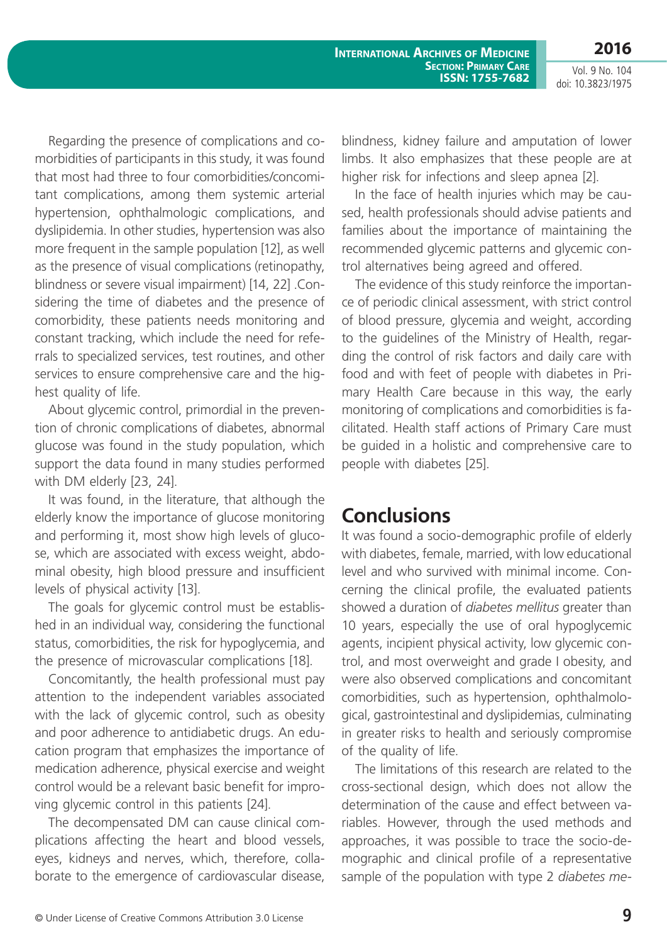**2016**

Regarding the presence of complications and comorbidities of participants in this study, it was found that most had three to four comorbidities/concomitant complications, among them systemic arterial hypertension, ophthalmologic complications, and dyslipidemia. In other studies, hypertension was also more frequent in the sample population [12], as well as the presence of visual complications (retinopathy, blindness or severe visual impairment) [14, 22] .Considering the time of diabetes and the presence of comorbidity, these patients needs monitoring and constant tracking, which include the need for referrals to specialized services, test routines, and other services to ensure comprehensive care and the highest quality of life.

About glycemic control, primordial in the prevention of chronic complications of diabetes, abnormal glucose was found in the study population, which support the data found in many studies performed with DM elderly [23, 24].

It was found, in the literature, that although the elderly know the importance of glucose monitoring and performing it, most show high levels of glucose, which are associated with excess weight, abdominal obesity, high blood pressure and insufficient levels of physical activity [13].

The goals for glycemic control must be established in an individual way, considering the functional status, comorbidities, the risk for hypoglycemia, and the presence of microvascular complications [18].

Concomitantly, the health professional must pay attention to the independent variables associated with the lack of glycemic control, such as obesity and poor adherence to antidiabetic drugs. An education program that emphasizes the importance of medication adherence, physical exercise and weight control would be a relevant basic benefit for improving glycemic control in this patients [24].

The decompensated DM can cause clinical complications affecting the heart and blood vessels, eyes, kidneys and nerves, which, therefore, collaborate to the emergence of cardiovascular disease, blindness, kidney failure and amputation of lower limbs. It also emphasizes that these people are at higher risk for infections and sleep apnea [2].

In the face of health injuries which may be caused, health professionals should advise patients and families about the importance of maintaining the recommended glycemic patterns and glycemic control alternatives being agreed and offered.

The evidence of this study reinforce the importance of periodic clinical assessment, with strict control of blood pressure, glycemia and weight, according to the guidelines of the Ministry of Health, regarding the control of risk factors and daily care with food and with feet of people with diabetes in Primary Health Care because in this way, the early monitoring of complications and comorbidities is facilitated. Health staff actions of Primary Care must be guided in a holistic and comprehensive care to people with diabetes [25].

### **Conclusions**

It was found a socio-demographic profile of elderly with diabetes, female, married, with low educational level and who survived with minimal income. Concerning the clinical profile, the evaluated patients showed a duration of *diabetes mellitus* greater than 10 years, especially the use of oral hypoglycemic agents, incipient physical activity, low glycemic control, and most overweight and grade I obesity, and were also observed complications and concomitant comorbidities, such as hypertension, ophthalmological, gastrointestinal and dyslipidemias, culminating in greater risks to health and seriously compromise of the quality of life.

The limitations of this research are related to the cross-sectional design, which does not allow the determination of the cause and effect between variables. However, through the used methods and approaches, it was possible to trace the socio-demographic and clinical profile of a representative sample of the population with type 2 *diabetes me-*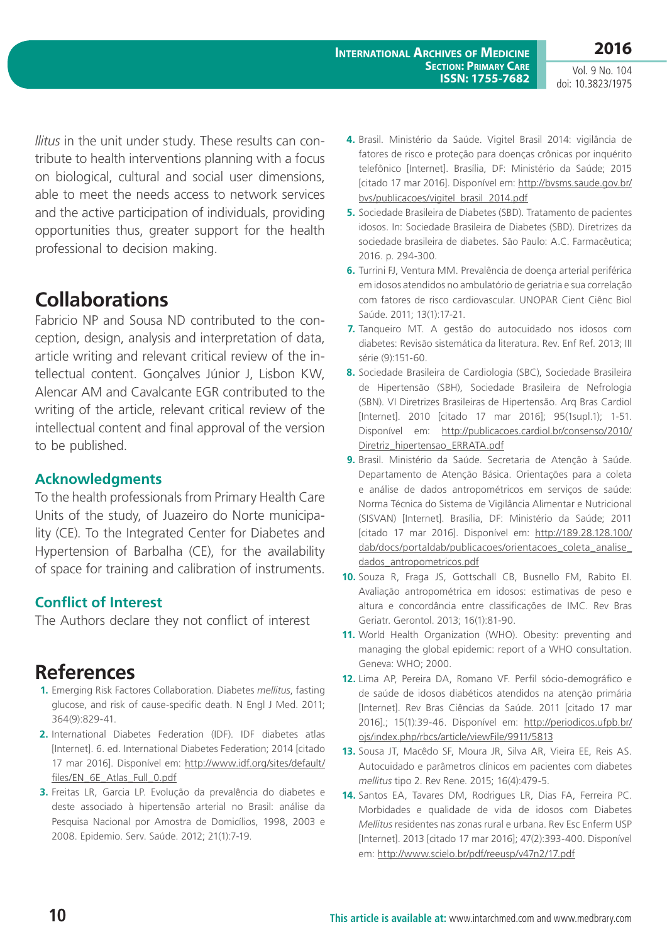**International Archives of Medicine Section: Primary Care ISSN: 1755-7682**

*llitus* in the unit under study. These results can contribute to health interventions planning with a focus on biological, cultural and social user dimensions, able to meet the needs access to network services and the active participation of individuals, providing opportunities thus, greater support for the health professional to decision making.

## **Collaborations**

Fabricio NP and Sousa ND contributed to the conception, design, analysis and interpretation of data, article writing and relevant critical review of the intellectual content. Gonçalves Júnior J, Lisbon KW, Alencar AM and Cavalcante EGR contributed to the writing of the article, relevant critical review of the intellectual content and final approval of the version to be published.

#### **Acknowledgments**

To the health professionals from Primary Health Care Units of the study, of Juazeiro do Norte municipality (CE). To the Integrated Center for Diabetes and Hypertension of Barbalha (CE), for the availability of space for training and calibration of instruments.

#### **Conflict of Interest**

The Authors declare they not conflict of interest

## **References**

- **1.** Emerging Risk Factores Collaboration. Diabetes *mellitus*, fasting glucose, and risk of cause-specific death. N Engl J Med. 2011; 364(9):829-41.
- **2.** International Diabetes Federation (IDF). IDF diabetes atlas [Internet]. 6. ed. International Diabetes Federation; 2014 [citado 17 mar 2016]. Disponível em: [http://www.idf.org/sites/default/](http://www.idf.org/sites/default/files/EN_6E_Atlas_Full_0.pdf) [files/EN\\_6E\\_Atlas\\_Full\\_0.pdf](http://www.idf.org/sites/default/files/EN_6E_Atlas_Full_0.pdf)
- **3.** Freitas LR, Garcia LP. Evolução da prevalência do diabetes e deste associado à hipertensão arterial no Brasil: análise da Pesquisa Nacional por Amostra de Domicílios, 1998, 2003 e 2008. Epidemio. Serv. Saúde. 2012; 21(1):7-19.
- **4.** Brasil. Ministério da Saúde. Vigitel Brasil 2014: vigilância de fatores de risco e proteção para doenças crônicas por inquérito telefônico [Internet]. Brasília, DF: Ministério da Saúde; 2015 [citado 17 mar 2016]. Disponível em: [http://bvsms.saude.gov.br/](http://bvsms.saude.gov.br/bvs/publicacoes/vigitel_brasil_2014.pdf) [bvs/publicacoes/vigitel\\_brasil\\_2014.pdf](http://bvsms.saude.gov.br/bvs/publicacoes/vigitel_brasil_2014.pdf)
- **5.** Sociedade Brasileira de Diabetes (SBD). Tratamento de pacientes idosos. In: Sociedade Brasileira de Diabetes (SBD). Diretrizes da sociedade brasileira de diabetes. São Paulo: A.C. Farmacêutica; 2016. p. 294-300.
- **6.** Turrini FJ, Ventura MM. Prevalência de doença arterial periférica em idosos atendidos no ambulatório de geriatria e sua correlação com fatores de risco cardiovascular. UNOPAR Cient Ciênc Biol Saúde. 2011; 13(1):17-21.
- **7.** Tanqueiro MT. A gestão do autocuidado nos idosos com diabetes: Revisão sistemática da literatura. Rev. Enf Ref. 2013; III série (9):151-60.
- **8.** Sociedade Brasileira de Cardiologia (SBC), Sociedade Brasileira de Hipertensão (SBH), Sociedade Brasileira de Nefrologia (SBN). VI Diretrizes Brasileiras de Hipertensão. Arq Bras Cardiol [Internet]. 2010 [citado 17 mar 2016]; 95(1supl.1); 1-51. Disponível em: [http://publicacoes.cardiol.br/consenso/2010/](http://publicacoes.cardiol.br/consenso/2010/Diretriz_hipertensao_ERRATA.pdf) [Diretriz\\_hipertensao\\_ERRATA.pdf](http://publicacoes.cardiol.br/consenso/2010/Diretriz_hipertensao_ERRATA.pdf)
- **9.** Brasil. Ministério da Saúde. Secretaria de Atenção à Saúde. Departamento de Atenção Básica. Orientações para a coleta e análise de dados antropométricos em serviços de saúde: Norma Técnica do Sistema de Vigilância Alimentar e Nutricional (SISVAN) [Internet]. Brasília, DF: Ministério da Saúde; 2011 [citado 17 mar 2016]. Disponível em: [http://189.28.128.100/](http://189.28.128.100/dab/docs/portaldab/publicacoes/orientacoes_coleta_analise_dados_antropometricos.pdf) [dab/docs/portaldab/publicacoes/orientacoes\\_coleta\\_analise\\_](http://189.28.128.100/dab/docs/portaldab/publicacoes/orientacoes_coleta_analise_dados_antropometricos.pdf) [dados\\_antropometricos.pdf](http://189.28.128.100/dab/docs/portaldab/publicacoes/orientacoes_coleta_analise_dados_antropometricos.pdf)
- **10.** Souza R, Fraga JS, Gottschall CB, Busnello FM, Rabito EI. Avaliação antropométrica em idosos: estimativas de peso e altura e concordância entre classificações de IMC. Rev Bras Geriatr. Gerontol. 2013; 16(1):81-90.
- **11.** World Health Organization (WHO). Obesity: preventing and managing the global epidemic: report of a WHO consultation. Geneva: WHO; 2000.
- **12.** Lima AP, Pereira DA, Romano VF. Perfil sócio-demográfico e de saúde de idosos diabéticos atendidos na atenção primária [Internet]. Rev Bras Ciências da Saúde. 2011 [citado 17 mar 2016].; 15(1):39-46. Disponível em: [http://periodicos.ufpb.br/](http://periodicos.ufpb.br/ojs/index.php/rbcs/article/viewFile/9911/5813) [ojs/index.php/rbcs/article/viewFile/9911/5813](http://periodicos.ufpb.br/ojs/index.php/rbcs/article/viewFile/9911/5813)
- **13.** Sousa JT, Macêdo SF, Moura JR, Silva AR, Vieira EE, Reis AS. Autocuidado e parâmetros clínicos em pacientes com diabetes *mellitus* tipo 2. Rev Rene. 2015; 16(4):479-5.
- **14.** Santos EA, Tavares DM, Rodrigues LR, Dias FA, Ferreira PC. Morbidades e qualidade de vida de idosos com Diabetes *Mellitus* residentes nas zonas rural e urbana. Rev Esc Enferm USP [Internet]. 2013 [citado 17 mar 2016]; 47(2):393-400. Disponível em:<http://www.scielo.br/pdf/reeusp/v47n2/17.pdf>